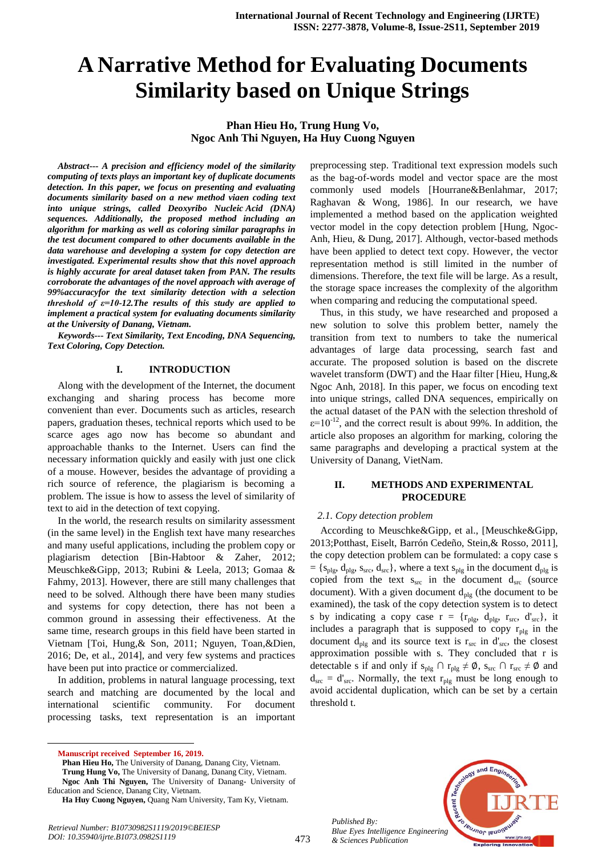# **A Narrative Method for Evaluating Documents Similarity based on Unique Strings**

# **Phan Hieu Ho, Trung Hung Vo, Ngoc Anh Thi Nguyen, Ha Huy Cuong Nguyen**

*Abstract--- A precision and efficiency model of the similarity computing of texts plays an important key of duplicate documents detection. In this paper, we focus on presenting and evaluating documents similarity based on a new method viaen coding text into unique strings, called Deoxyribo Nucleic Acid (DNA) sequences. Additionally, the proposed method including an algorithm for marking as well as coloring similar paragraphs in the test document compared to other documents available in the data warehouse and developing a system for copy detection are investigated. Experimental results show that this novel approach is highly accurate for areal dataset taken from PAN. The results corroborate the advantages of the novel approach with average of 99%accuracyfor the text similarity detection with a selection threshold of ε=10-12.The results of this study are applied to implement a practical system for evaluating documents similarity at the University of Danang, Vietnam.*

*Keywords--- Text Similarity, Text Encoding, DNA Sequencing, Text Coloring, Copy Detection.*

#### **I. INTRODUCTION**

Along with the development of the Internet, the document exchanging and sharing process has become more convenient than ever. Documents such as articles, research papers, graduation theses, technical reports which used to be scarce ages ago now has become so abundant and approachable thanks to the Internet. Users can find the necessary information quickly and easily with just one click of a mouse. However, besides the advantage of providing a rich source of reference, the plagiarism is becoming a problem. The issue is how to assess the level of similarity of text to aid in the detection of text copying.

In the world, the research results on similarity assessment (in the same level) in the English text have many researches and many useful applications, including the problem copy or plagiarism detection [Bin-Habtoor & Zaher, 2012; Meuschke&Gipp, 2013; Rubini & Leela, 2013; Gomaa & Fahmy, 2013]. However, there are still many challenges that need to be solved. Although there have been many studies and systems for copy detection, there has not been a common ground in assessing their effectiveness. At the same time, research groups in this field have been started in Vietnam [Toi, Hung,& Son, 2011; Nguyen, Toan,&Dien, 2016; De, et al., 2014], and very few systems and practices have been put into practice or commercialized.

In addition, problems in natural language processing, text search and matching are documented by the local and international scientific community. For document processing tasks, text representation is an important

 $\overline{a}$ 

Phan Hieu Ho, The University of Danang, Danang City, Vietnam. **Trung Hung Vo,** The University of Danang, Danang City, Vietnam. **Ngoc Anh Thi Nguyen,** The University of Danang- University of Education and Science, Danang City, Vietnam.

preprocessing step. Traditional text expression models such as the bag-of-words model and vector space are the most commonly used models [Hourrane&Benlahmar, 2017; Raghavan & Wong, 1986]. In our research, we have implemented a method based on the application weighted vector model in the copy detection problem [Hung, Ngoc-Anh, Hieu, & Dung, 2017]. Although, vector-based methods have been applied to detect text copy. However, the vector representation method is still limited in the number of dimensions. Therefore, the text file will be large. As a result, the storage space increases the complexity of the algorithm when comparing and reducing the computational speed.

Thus, in this study, we have researched and proposed a new solution to solve this problem better, namely the transition from text to numbers to take the numerical advantages of large data processing, search fast and accurate. The proposed solution is based on the discrete wavelet transform (DWT) and the Haar filter [Hieu, Hung,& Ngoc Anh, 2018]. In this paper, we focus on encoding text into unique strings, called DNA sequences, empirically on the actual dataset of the PAN with the selection threshold of  $\varepsilon$ =10<sup>-12</sup>, and the correct result is about 99%. In addition, the article also proposes an algorithm for marking, coloring the same paragraphs and developing a practical system at the University of Danang, VietNam.

# **II. METHODS AND EXPERIMENTAL PROCEDURE**

## *2.1. Copy detection problem*

According to Meuschke&Gipp, et al., [Meuschke&Gipp, 2013;Potthast, Eiselt, Barrón Cedeño, Stein,& Rosso, 2011], the copy detection problem can be formulated: a copy case s  $= \{s_{\text{plg}}, d_{\text{plg}}, s_{\text{src}}, d_{\text{src}}\}$ , where a text  $s_{\text{plg}}$  in the document  $d_{\text{plg}}$  is copied from the text  $s_{src}$  in the document  $d_{src}$  (source document). With a given document  $d_{\text{plg}}$  (the document to be examined), the task of the copy detection system is to detect s by indicating a copy case  $r = \{r_{\text{plg}}, d_{\text{plg}}, r_{\text{src}}, d'_{\text{src}}\}$ , it includes a paragraph that is supposed to copy  $r_{\text{plg}}$  in the document  $d_{\text{plg}}$  and its source text is  $r_{\text{src}}$  in  $d'_{\text{src}}$ , the closest approximation possible with s. They concluded that r is detectable s if and only if  $s_{plg} \cap r_{plg} \neq \emptyset$ ,  $s_{src} \cap r_{src} \neq \emptyset$  and  $d_{src} = d'_{src}$ . Normally, the text  $r_{ply}$  must be long enough to avoid accidental duplication, which can be set by a certain threshold t.

*Published By: Blue Eyes Intelligence Engineering & Sciences Publication* 



**Manuscript received September 16, 2019.**

**Ha Huy Cuong Nguyen,** Quang Nam University, Tam Ky, Vietnam.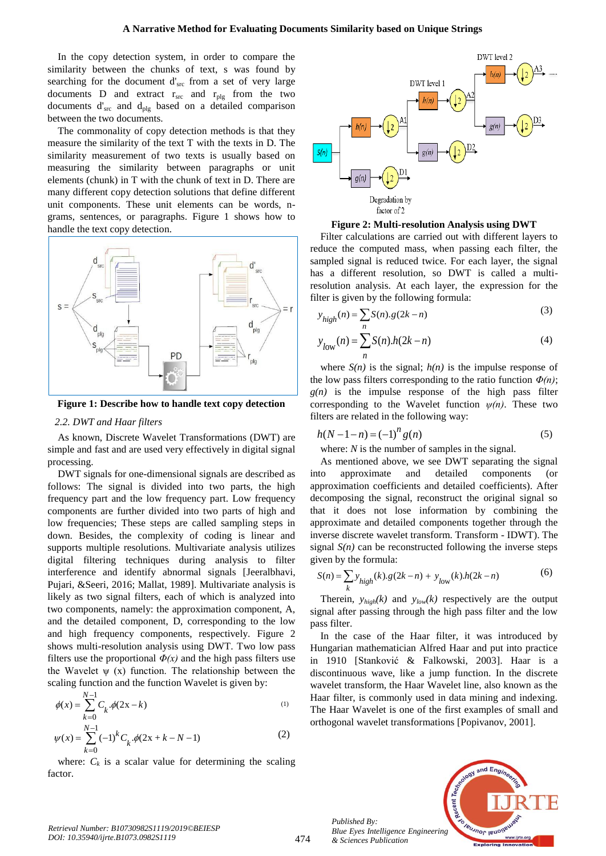In the copy detection system, in order to compare the similarity between the chunks of text, s was found by searching for the document d'<sub>src</sub> from a set of very large documents  $D$  and extract  $r_{src}$  and  $r_{ply}$  from the two documents  $d'_{src}$  and  $d_{plg}$  based on a detailed comparison between the two documents.

The commonality of copy detection methods is that they measure the similarity of the text T with the texts in D. The similarity measurement of two texts is usually based on measuring the similarity between paragraphs or unit elements (chunk) in T with the chunk of text in D. There are many different copy detection solutions that define different unit components. These unit elements can be words, ngrams, sentences, or paragraphs. Figure 1 shows how to handle the text copy detection.



**Figure 1: Describe how to handle text copy detection**

#### *2.2. DWT and Haar filters*

As known, Discrete Wavelet Transformations (DWT) are simple and fast and are used very effectively in digital signal processing.

DWT signals for one-dimensional signals are described as follows: The signal is divided into two parts, the high frequency part and the low frequency part. Low frequency components are further divided into two parts of high and low frequencies; These steps are called sampling steps in down. Besides, the complexity of coding is linear and supports multiple resolutions. Multivariate analysis utilizes digital filtering techniques during analysis to filter interference and identify abnormal signals [Jeeralbhavi, Pujari, &Seeri, 2016; Mallat, 1989]. Multivariate analysis is likely as two signal filters, each of which is analyzed into two components, namely: the approximation component, A, and the detailed component, D, corresponding to the low and high frequency components, respectively. Figure 2 shows multi-resolution analysis using DWT. Two low pass filters use the proportional  $\Phi(x)$  and the high pass filters use the Wavelet  $\psi$  (x) function. The relationship between the scaling function and the function Wavelet is given by:

$$
\phi(x) = \sum_{k=0}^{N-1} C_k \phi(2x - k)
$$
\n(1)\n
$$
\phi(x) = \sum_{k=0}^{N-1} C_k \phi(2x - k)
$$
\n(2)

$$
\psi(x) = \sum_{k=0}^{N-1} (-1)^k C_k \cdot \phi(2x + k - N - 1)
$$
\n(2)

where:  $C_k$  is a scalar value for determining the scaling factor.





Filter calculations are carried out with different layers to reduce the computed mass, when passing each filter, the sampled signal is reduced twice. For each layer, the signal has a different resolution, so DWT is called a multiresolution analysis. At each layer, the expression for the filter is given by the following formula:

$$
y_{high}(n) = \sum S(n).g(2k-n)
$$
 (3)

$$
y_{low}(n) = \sum_{n}^{n} S(n) \cdot h(2k - n)
$$
 (4)

where  $S(n)$  is the signal;  $h(n)$  is the impulse response of the low pass filters corresponding to the ratio function *Φ(n)*;  $g(n)$  is the impulse response of the high pass filter corresponding to the Wavelet function  $\psi(n)$ . These two filters are related in the following way:

$$
h(N - 1 - n) = (-1)^n g(n)
$$
 (5)

where: *N* is the number of samples in the signal.

As mentioned above, we see DWT separating the signal into approximate and detailed components (or approximation coefficients and detailed coefficients). After decomposing the signal, reconstruct the original signal so that it does not lose information by combining the approximate and detailed components together through the inverse discrete wavelet transform. Transform - IDWT). The signal  $S(n)$  can be reconstructed following the inverse steps

given by the formula:  
\n
$$
S(n) = \sum_{k} y_{high}(k).g(2k - n) + y_{low}(k).h(2k - n)
$$
\n(6)

Therein,  $y_{high}(k)$  and  $y_{low}(k)$  respectively are the output signal after passing through the high pass filter and the low pass filter.

In the case of the Haar filter, it was introduced by Hungarian mathematician Alfred Haar and put into practice in 1910 [Stanković & Falkowski, 2003]. Haar is a discontinuous wave, like a jump function. In the discrete wavelet transform, the Haar Wavelet line, also known as the Haar filter, is commonly used in data mining and indexing. The Haar Wavelet is one of the first examples of small and orthogonal wavelet transformations [Popivanov, 2001].

*Published By: Blue Eyes Intelligence Engineering & Sciences Publication* 



*Retrieval Number: B10730982S1119/2019©BEIESP DOI: 10.35940/ijrte.B1073.0982S1119*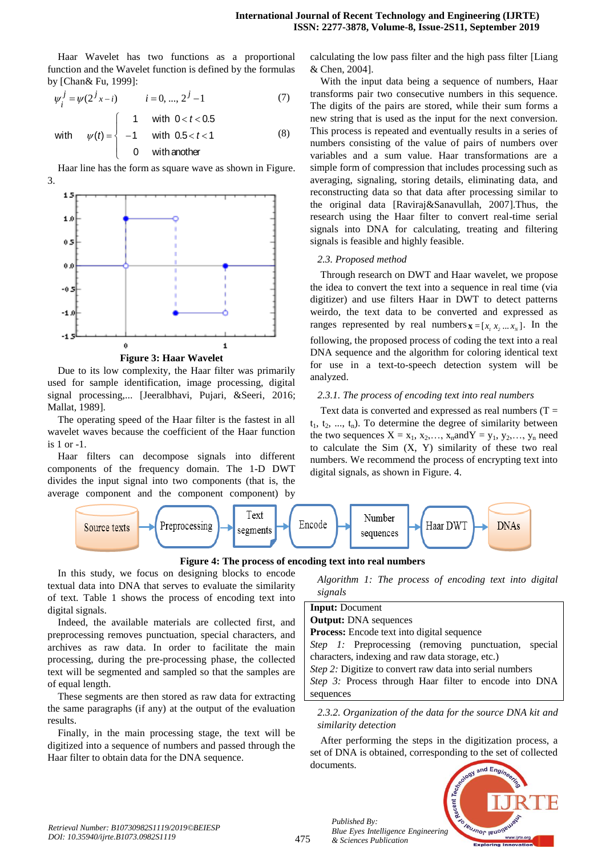Haar Wavelet has two functions as a proportional function and the Wavelet function is defined by the formulas

by [Chan& Fu, 1999]:  
\n
$$
\psi_i^j = \psi(2^j x - i) \qquad i = 0, ..., 2^j - 1 \tag{7}
$$

with 
$$
\psi(t) = \begin{cases} 1 & \text{with } 0 < t < 0.5 \\ -1 & \text{with } 0.5 < t < 1 \\ 0 & \text{with another} \end{cases}
$$
 (8)

Haar line has the form as square wave as shown in Figure. 3.



**Figure 3: Haar Wavelet**

Due to its low complexity, the Haar filter was primarily used for sample identification, image processing, digital signal processing,... [Jeeralbhavi, Pujari, &Seeri, 2016; Mallat, 1989].

The operating speed of the Haar filter is the fastest in all wavelet waves because the coefficient of the Haar function is  $1$  or  $-1$ .

Haar filters can decompose signals into different components of the frequency domain. The 1-D DWT divides the input signal into two components (that is, the average component and the component component) by

calculating the low pass filter and the high pass filter [Liang & Chen, 2004].

With the input data being a sequence of numbers, Haar transforms pair two consecutive numbers in this sequence. The digits of the pairs are stored, while their sum forms a new string that is used as the input for the next conversion. This process is repeated and eventually results in a series of numbers consisting of the value of pairs of numbers over variables and a sum value. Haar transformations are a simple form of compression that includes processing such as averaging, signaling, storing details, eliminating data, and reconstructing data so that data after processing similar to the original data [Raviraj&Sanavullah, 2007].Thus, the research using the Haar filter to convert real-time serial signals into DNA for calculating, treating and filtering signals is feasible and highly feasible.

#### *2.3. Proposed method*

Through research on DWT and Haar wavelet, we propose the idea to convert the text into a sequence in real time (via digitizer) and use filters Haar in DWT to detect patterns weirdo, the text data to be converted and expressed as ranges represented by real numbers  $\mathbf{x} = [x_1, x_2, \dots, x_N]$ . In the following, the proposed process of coding the text into a real DNA sequence and the algorithm for coloring identical text for use in a text-to-speech detection system will be analyzed.

# *2.3.1. The process of encoding text into real numbers*

Text data is converted and expressed as real numbers  $(T =$  $t_1, t_2, ..., t_n$ ). To determine the degree of similarity between the two sequences  $X = x_1, x_2, \ldots, x_n$  and  $Y = y_1, y_2, \ldots, y_n$  need to calculate the Sim  $(X, Y)$  similarity of these two real numbers. We recommend the process of encrypting text into digital signals, as shown in Figure. 4.





In this study, we focus on designing blocks to encode textual data into DNA that serves to evaluate the similarity of text. Table 1 shows the process of encoding text into digital signals.

Indeed, the available materials are collected first, and preprocessing removes punctuation, special characters, and archives as raw data. In order to facilitate the main processing, during the pre-processing phase, the collected text will be segmented and sampled so that the samples are of equal length.

These segments are then stored as raw data for extracting the same paragraphs (if any) at the output of the evaluation results.

Finally, in the main processing stage, the text will be digitized into a sequence of numbers and passed through the Haar filter to obtain data for the DNA sequence.

*Algorithm 1: The process of encoding text into digital signals*

| <b>Input:</b> Document                                        |  |  |  |  |  |  |  |
|---------------------------------------------------------------|--|--|--|--|--|--|--|
| <b>Output:</b> DNA sequences                                  |  |  |  |  |  |  |  |
| <b>Process:</b> Encode text into digital sequence             |  |  |  |  |  |  |  |
| Step 1: Preprocessing (removing punctuation, special          |  |  |  |  |  |  |  |
| characters, indexing and raw data storage, etc.)              |  |  |  |  |  |  |  |
| Step 2: Digitize to convert raw data into serial numbers      |  |  |  |  |  |  |  |
| <i>Step 3:</i> Process through Haar filter to encode into DNA |  |  |  |  |  |  |  |
| sequences                                                     |  |  |  |  |  |  |  |
|                                                               |  |  |  |  |  |  |  |

*2.3.2. Organization of the data for the source DNA kit and similarity detection*

After performing the steps in the digitization process, a set of DNA is obtained, corresponding to the set of collected documents.



*Published By:*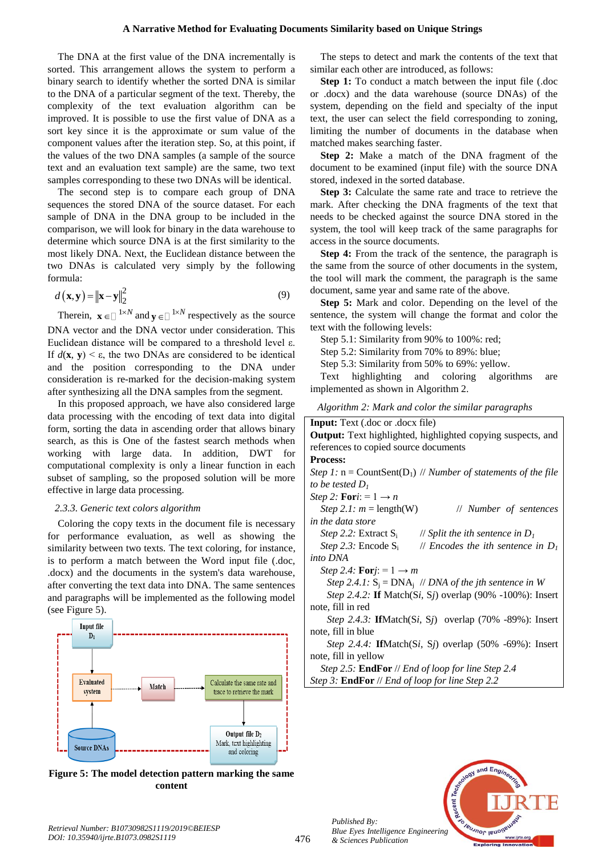#### **A Narrative Method for Evaluating Documents Similarity based on Unique Strings**

The DNA at the first value of the DNA incrementally is sorted. This arrangement allows the system to perform a binary search to identify whether the sorted DNA is similar to the DNA of a particular segment of the text. Thereby, the complexity of the text evaluation algorithm can be improved. It is possible to use the first value of DNA as a sort key since it is the approximate or sum value of the component values after the iteration step. So, at this point, if the values of the two DNA samples (a sample of the source text and an evaluation text sample) are the same, two text samples corresponding to these two DNAs will be identical.

The second step is to compare each group of DNA sequences the stored DNA of the source dataset. For each sample of DNA in the DNA group to be included in the comparison, we will look for binary in the data warehouse to determine which source DNA is at the first similarity to the most likely DNA. Next, the Euclidean distance between the two DNAs is calculated very simply by the following formula:

$$
d(\mathbf{x}, \mathbf{y}) = \|\mathbf{x} - \mathbf{y}\|_2^2
$$
 (9)

Therein,  $\mathbf{x} \in \Box^{1 \times N}$  and  $\mathbf{y} \in \Box^{1 \times N}$  respectively as the source DNA vector and the DNA vector under consideration. This Euclidean distance will be compared to a threshold level ε. If *d*(**x**, **y**) < ε, the two DNAs are considered to be identical and the position corresponding to the DNA under consideration is re-marked for the decision-making system after synthesizing all the DNA samples from the segment.

In this proposed approach, we have also considered large data processing with the encoding of text data into digital form, sorting the data in ascending order that allows binary search, as this is One of the fastest search methods when working with large data. In addition, DWT for computational complexity is only a linear function in each subset of sampling, so the proposed solution will be more effective in large data processing.

#### *2.3.3. Generic text colors algorithm*

Coloring the copy texts in the document file is necessary for performance evaluation, as well as showing the similarity between two texts. The text coloring, for instance, is to perform a match between the Word input file (.doc, .docx) and the documents in the system's data warehouse, after converting the text data into DNA. The same sentences and paragraphs will be implemented as the following model (see Figure 5).



**Figure 5: The model detection pattern marking the same content**

The steps to detect and mark the contents of the text that similar each other are introduced, as follows:

**Step 1:** To conduct a match between the input file (.doc) or .docx) and the data warehouse (source DNAs) of the system, depending on the field and specialty of the input text, the user can select the field corresponding to zoning, limiting the number of documents in the database when matched makes searching faster.

**Step 2:** Make a match of the DNA fragment of the document to be examined (input file) with the source DNA stored, indexed in the sorted database.

**Step 3:** Calculate the same rate and trace to retrieve the mark. After checking the DNA fragments of the text that needs to be checked against the source DNA stored in the system, the tool will keep track of the same paragraphs for access in the source documents.

**Step 4:** From the track of the sentence, the paragraph is the same from the source of other documents in the system, the tool will mark the comment, the paragraph is the same document, same year and same rate of the above.

**Step 5:** Mark and color. Depending on the level of the sentence, the system will change the format and color the text with the following levels:

Step 5.1: Similarity from 90% to 100%: red;

Step 5.2: Similarity from 70% to 89%: blue;

Step 5.3: Similarity from 50% to 69%: yellow.

Text highlighting and coloring algorithms are implemented as shown in Algorithm 2.

| Algorithm 2: Mark and color the similar paragraphs |  |  |  |  |  |  |  |  |  |
|----------------------------------------------------|--|--|--|--|--|--|--|--|--|
|----------------------------------------------------|--|--|--|--|--|--|--|--|--|

| <b>Input:</b> Text (.doc or .docx file)                               |  |  |  |  |  |  |  |
|-----------------------------------------------------------------------|--|--|--|--|--|--|--|
|                                                                       |  |  |  |  |  |  |  |
| Output: Text highlighted, highlighted copying suspects, and           |  |  |  |  |  |  |  |
| references to copied source documents                                 |  |  |  |  |  |  |  |
| <b>Process:</b>                                                       |  |  |  |  |  |  |  |
| Step 1: $n = CountSent(D_1)$ // Number of statements of the file      |  |  |  |  |  |  |  |
| to be tested $D_1$                                                    |  |  |  |  |  |  |  |
| <i>Step 2:</i> <b>For</b> <i>i</i> : = $1 \rightarrow n$              |  |  |  |  |  |  |  |
| <i>Step 2.1:</i> $m = \text{length}(W)$<br>// Number of sentences     |  |  |  |  |  |  |  |
| in the data store                                                     |  |  |  |  |  |  |  |
| <i>Step 2.2:</i> Extract $S_i$<br>// Split the ith sentence in $D_1$  |  |  |  |  |  |  |  |
| <i>Step 2.3:</i> Encode $S_i$<br>// Encodes the ith sentence in $D_1$ |  |  |  |  |  |  |  |
| into DNA                                                              |  |  |  |  |  |  |  |
| <i>Step 2.4:</i> <b>For</b> <i>j</i> : = 1 $\rightarrow$ <i>m</i>     |  |  |  |  |  |  |  |
| Step 2.4.1: $S_i = DNA_i$ // DNA of the jth sentence in W             |  |  |  |  |  |  |  |
| Step 2.4.2: If Match(Si, Sj) overlap (90% -100%): Insert              |  |  |  |  |  |  |  |
| note, fill in red                                                     |  |  |  |  |  |  |  |
| <i>Step 2.4.3:</i> IfMatch(Si, Sj) overlap (70% -89%): Insert         |  |  |  |  |  |  |  |
| note, fill in blue                                                    |  |  |  |  |  |  |  |
| Step 2.4.4: IfMatch(Si, Sj) overlap (50% -69%): Insert                |  |  |  |  |  |  |  |
| note, fill in yellow                                                  |  |  |  |  |  |  |  |
| Step 2.5: <b>EndFor</b> // End of loop for line Step 2.4              |  |  |  |  |  |  |  |
| Step 3: <b>EndFor</b> // End of loop for line Step 2.2                |  |  |  |  |  |  |  |
|                                                                       |  |  |  |  |  |  |  |



*Published By:*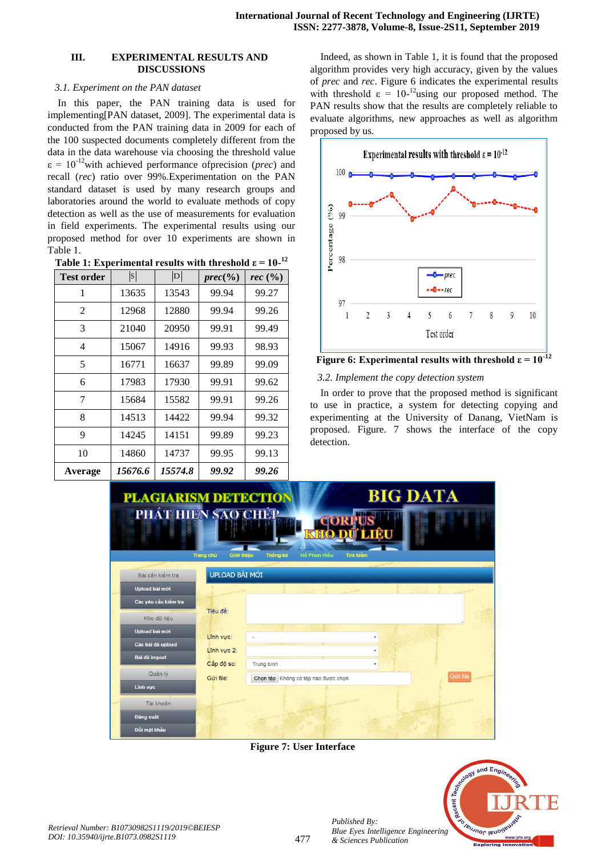# **III. EXPERIMENTAL RESULTS AND DISCUSSIONS**

# *3.1. Experiment on the PAN dataset*

In this paper, the PAN training data is used for implementing[PAN dataset, 2009]. The experimental data is conducted from the PAN training data in 2009 for each of the 100 suspected documents completely different from the data in the data warehouse via choosing the threshold value  $\varepsilon = 10^{-12}$  with achieved performance of precision (*prec*) and recall (*rec*) ratio over 99%.Experimentation on the PAN standard dataset is used by many research groups and laboratories around the world to evaluate methods of copy detection as well as the use of measurements for evaluation in field experiments. The experimental results using our proposed method for over 10 experiments are shown in Table 1.

| Table 1: Experimental results with threshold $\varepsilon = 10^{-12}$ |  |  |  |
|-----------------------------------------------------------------------|--|--|--|
|                                                                       |  |  |  |

| <b>Test order</b> | $ {\rm S} $ | D       | $prec(\%)$ | rec $\left(\frac{9}{6}\right)$ |
|-------------------|-------------|---------|------------|--------------------------------|
| 1                 | 13635       | 13543   | 99.94      | 99.27                          |
| 2                 | 12968       | 12880   | 99.94      | 99.26                          |
| 3                 | 21040       | 20950   | 99.91      | 99.49                          |
| 4                 | 15067       | 14916   | 99.93      | 98.93                          |
| 5                 | 16771       | 16637   | 99.89      | 99.09                          |
| 6                 | 17983       | 17930   | 99.91      | 99.62                          |
| 7                 | 15684       | 15582   | 99.91      | 99.26                          |
| 8                 | 14513       | 14422   | 99.94      | 99.32                          |
| 9                 | 14245       | 14151   | 99.89      | 99.23                          |
| 10                | 14860       | 14737   | 99.95      | 99.13                          |
| Average           | 15676.6     | 15574.8 | 99.92      | 99.26                          |

Indeed, as shown in Table 1, it is found that the proposed algorithm provides very high accuracy, given by the values of *prec* and *rec*. Figure 6 indicates the experimental results with threshold  $\varepsilon = 10^{-12}$ using our proposed method. The PAN results show that the results are completely reliable to evaluate algorithms, new approaches as well as algorithm proposed by us.



**Figure 6: Experimental results with threshold**  $\epsilon = 10^{-12}$ 

## *3.2. Implement the copy detection system*

In order to prove that the proposed method is significant to use in practice, a system for detecting copying and experimenting at the University of Danang, VietNam is proposed. Figure. 7 shows the interface of the copy detection.

| <b>PLAGIARISM DETECTION</b><br>PHÁT HIÊN SAO CHÉP |                         |                                     | 180                             | <b>BIG DATA</b>           |           |  |
|---------------------------------------------------|-------------------------|-------------------------------------|---------------------------------|---------------------------|-----------|--|
|                                                   | Giới thiệu<br>Trang chủ | Thống kê                            | Hồ Phan Hiếu<br><b>Tim kiếm</b> |                           |           |  |
| Bài cần kiểm tra                                  | UPLOAD BÀI MỚI          |                                     |                                 |                           |           |  |
| Upload bài mới                                    |                         |                                     |                                 |                           |           |  |
| Các yêu cầu kiểm tra                              |                         |                                     |                                 |                           |           |  |
| Kho dữ liêu                                       | Tiêu đề:                |                                     |                                 |                           |           |  |
| Upload bài mới                                    | Lĩnh vưc:               |                                     |                                 | ٠                         |           |  |
| Các bài đã upload                                 | Lĩnh vực 2:             |                                     |                                 | $\mathbf{v}$              |           |  |
| Bài đã import                                     | Cấp độ so:              | Trung binh                          |                                 | $\boldsymbol{\mathrm{v}}$ |           |  |
| Quản lý                                           | Gửi file:               | Chọn tệp Không có tệp nào được chọn |                                 |                           | Güri file |  |
| <b>Linh vucc</b>                                  |                         |                                     |                                 |                           |           |  |
| Tài khoản                                         |                         |                                     | <b>PARTICULARS</b>              |                           |           |  |
| Đăng xuất                                         |                         |                                     |                                 |                           |           |  |
| Đối mật khẩu                                      |                         |                                     |                                 |                           |           |  |

**Figure 7: User Interface**



*Published By:*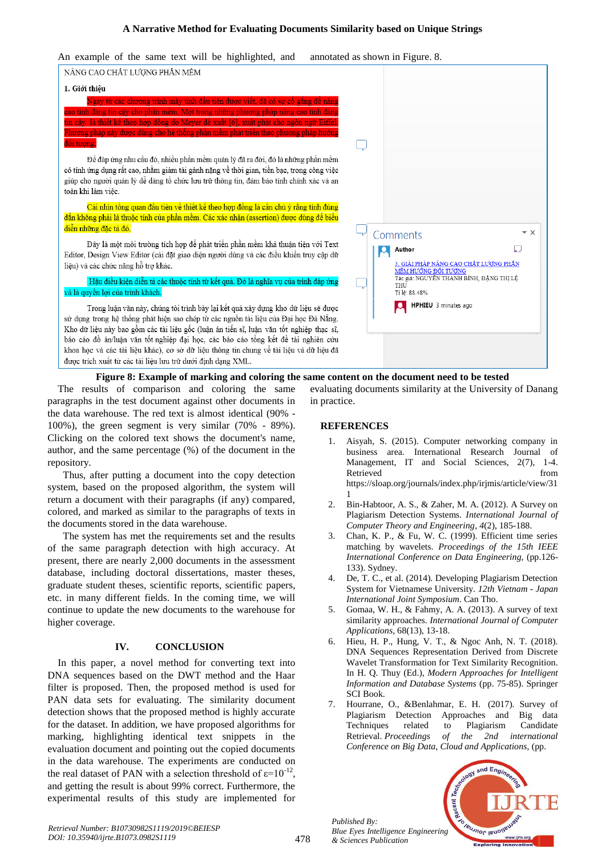# **A Narrative Method for Evaluating Documents Similarity based on Unique Strings**

An example of the same text will be highlighted, and annotated as shown in Figure. 8.



**Figure 8: Example of marking and coloring the same content on the document need to be tested**

The results of comparison and coloring the same paragraphs in the test document against other documents in the data warehouse. The red text is almost identical (90% - 100%), the green segment is very similar (70% - 89%). Clicking on the colored text shows the document's name, author, and the same percentage (%) of the document in the repository.

 Thus, after putting a document into the copy detection system, based on the proposed algorithm, the system will return a document with their paragraphs (if any) compared, colored, and marked as similar to the paragraphs of texts in the documents stored in the data warehouse.

 The system has met the requirements set and the results of the same paragraph detection with high accuracy. At present, there are nearly 2,000 documents in the assessment database, including doctoral dissertations, master theses, graduate student theses, scientific reports, scientific papers, etc. in many different fields. In the coming time, we will continue to update the new documents to the warehouse for higher coverage.

# **IV. CONCLUSION**

In this paper, a novel method for converting text into DNA sequences based on the DWT method and the Haar filter is proposed. Then, the proposed method is used for PAN data sets for evaluating. The similarity document detection shows that the proposed method is highly accurate for the dataset. In addition, we have proposed algorithms for marking, highlighting identical text snippets in the evaluation document and pointing out the copied documents in the data warehouse. The experiments are conducted on the real dataset of PAN with a selection threshold of  $\varepsilon = 10^{-12}$ , and getting the result is about 99% correct. Furthermore, the experimental results of this study are implemented for

evaluating documents similarity at the University of Danang in practice.

# **REFERENCES**

- 1. Aisyah, S. (2015). Computer networking company in business area. International Research Journal of Management, IT and Social Sciences, 2(7), 1-4. Retrieved from the state of  $\sim$ https://sloap.org/journals/index.php/irjmis/article/view/31 1
- Bin-Habtoor, A. S., & Zaher, M. A. (2012). A Survey on Plagiarism Detection Systems. *International Journal of Computer Theory and Engineering*, *4*(2), 185-188.
- 3. Chan, K. P., & Fu, W. C. (1999). Efficient time series matching by wavelets. *Proceedings of the 15th IEEE International Conference on Data Engineering,* (pp.126- 133). Sydney.
- 4. De, T. C., et al. (2014). Developing Plagiarism Detection System for Vietnamese University. *12th Vietnam - Japan International Joint Symposium*. Can Tho.
- 5. Gomaa, W. H., & Fahmy, A. A. (2013). A survey of text similarity approaches. *International Journal of Computer Applications,* 68(13), 13-18.
- 6. Hieu, H. P., Hung, V. T., & Ngoc Anh, N. T. (2018). DNA Sequences Representation Derived from Discrete Wavelet Transformation for Text Similarity Recognition. In H. Q. Thuy (Ed.), *Modern Approaches for Intelligent Information and Database Systems* (pp. 75-85). Springer SCI Book.
- 7. Hourrane, O., &Benlahmar, E. H. (2017). Survey of Plagiarism Detection Approaches and Big data Techniques related to Plagiarism Candidate Retrieval. *Proceedings of the 2nd international Conference on Big Data, Cloud and Applications,* (pp.



*Retrieval Number: B10730982S1119/2019©BEIESP DOI: 10.35940/ijrte.B1073.0982S1119*

*Published By:*